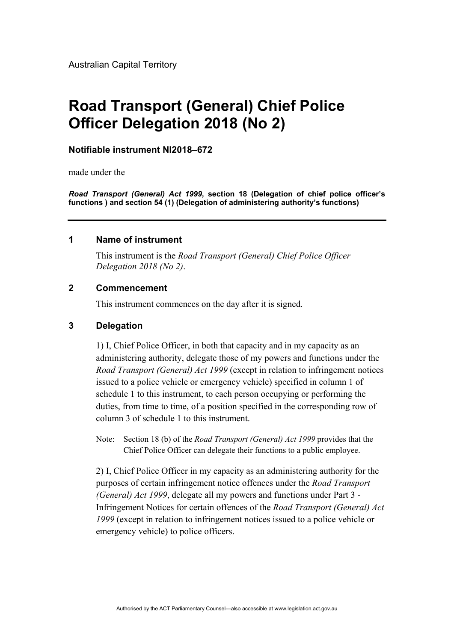# **Road Transport (General) Chief Police Officer Delegation 2018 (No 2)**

# **Notifiable instrument NI2018–672**

made under the

*Road Transport (General) Act 1999***, section 18 (Delegation of chief police officer's functions ) and section 54 (1) (Delegation of administering authority's functions)** 

### **1 Name of instrument**

This instrument is the *Road Transport (General) Chief Police Officer Delegation 2018 (No 2)*.

# **2 Commencement**

This instrument commences on the day after it is signed.

# **3 Delegation**

1) I, Chief Police Officer, in both that capacity and in my capacity as an administering authority, delegate those of my powers and functions under the *Road Transport (General) Act 1999* (except in relation to infringement notices issued to a police vehicle or emergency vehicle) specified in column 1 of schedule 1 to this instrument, to each person occupying or performing the duties, from time to time, of a position specified in the corresponding row of column 3 of schedule 1 to this instrument.

Note: Section 18 (b) of the *Road Transport (General) Act 1999* provides that the Chief Police Officer can delegate their functions to a public employee.

2) I, Chief Police Officer in my capacity as an administering authority for the purposes of certain infringement notice offences under the *Road Transport (General) Act 1999*, delegate all my powers and functions under Part 3 - Infringement Notices for certain offences of the *Road Transport (General) Act 1999* (except in relation to infringement notices issued to a police vehicle or emergency vehicle) to police officers.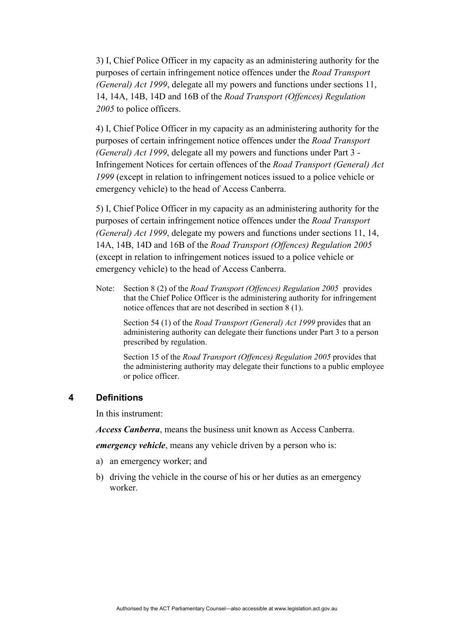3) I, Chief Police Officer in my capacity as an administering authority for the purposes of certain infringement notice offences under the *Road Transport (General) Act 1999*, delegate all my powers and functions under sections 11, 14, 14A, 14B, 14D and 16B of the *Road Transport (Offences) Regulation 2005* to police officers.

4) I, Chief Police Officer in my capacity as an administering authority for the purposes of certain infringement notice offences under the *Road Transport (General) Act 1999*, delegate all my powers and functions under Part 3 - Infringement Notices for certain offences of the *Road Transport (General) Act 1999* (except in relation to infringement notices issued to a police vehicle or emergency vehicle) to the head of Access Canberra.

5) I, Chief Police Officer in my capacity as an administering authority for the purposes of certain infringement notice offences under the *Road Transport (General) Act 1999*, delegate my powers and functions under sections 11, 14, 14A, 14B, 14D and 16B of the *Road Transport (Offences) Regulation 2005* (except in relation to infringement notices issued to a police vehicle or emergency vehicle) to the head of Access Canberra.

Note: Section 8 (2) of the *Road Transport (Offences) Regulation 2005* provides that the Chief Police Officer is the administering authority for infringement notice offences that are not described in section 8 (1).

 Section 54 (1) of the *Road Transport (General) Act 1999* provides that an administering authority can delegate their functions under Part 3 to a person prescribed by regulation.

 Section 15 of the *Road Transport (Offences) Regulation 2005* provides that the administering authority may delegate their functions to a public employee or police officer.

#### **4 Definitions**

In this instrument:

*Access Canberra*, means the business unit known as Access Canberra.

*emergency vehicle*, means any vehicle driven by a person who is:

- a) an emergency worker; and
- b) driving the vehicle in the course of his or her duties as an emergency worker.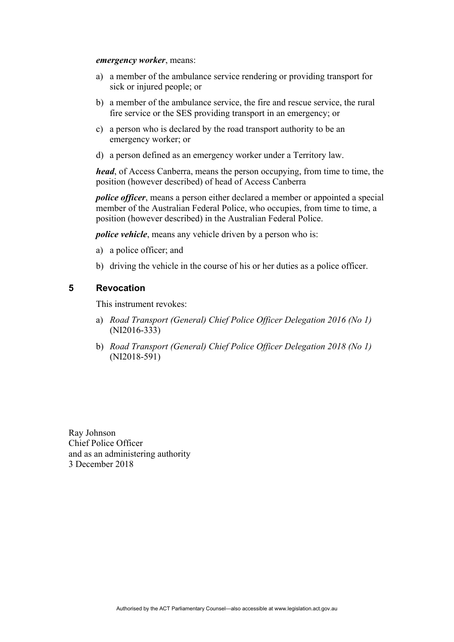#### *emergency worker*, means:

- a) a member of the ambulance service rendering or providing transport for sick or injured people; or
- b) a member of the ambulance service, the fire and rescue service, the rural fire service or the SES providing transport in an emergency; or
- c) a person who is declared by the road transport authority to be an emergency worker; or
- d) a person defined as an emergency worker under a Territory law.

*head*, of Access Canberra, means the person occupying, from time to time, the position (however described) of head of Access Canberra

*police officer*, means a person either declared a member or appointed a special member of the Australian Federal Police, who occupies, from time to time, a position (however described) in the Australian Federal Police.

*police vehicle*, means any vehicle driven by a person who is:

- a) a police officer; and
- b) driving the vehicle in the course of his or her duties as a police officer.

### **5 Revocation**

This instrument revokes:

- a) *Road Transport (General) Chief Police Officer Delegation 2016 (No 1)* (NI2016-333)
- b) *Road Transport (General) Chief Police Officer Delegation 2018 (No 1)* (NI2018-591)

Ray Johnson Chief Police Officer and as an administering authority 3 December 2018